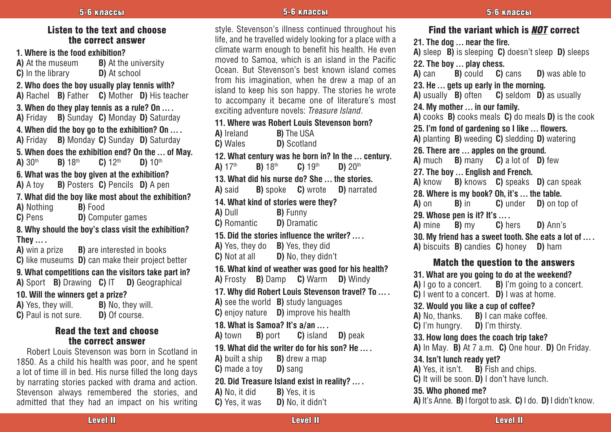### Listen to the text and choose the correct answer

**1. Where is the food exhibition?**<br>**A**) At the museum **B**) At the

**B)** At the university **D**) At school **C)** In the library

**2. Who does the boy usually play tennis with?**

**A)** Rachel **B)** Father **C)** Mother **D)** His teacher

**3. When do they play tennis as a rule? On … . A)** Friday **B)** Sunday **C)** Monday **D)** Saturday **4. When did the boy go to the exhibition? On … . A)** Friday **B)** Monday **C)** Sunday **D)** Saturday **5. When does the exhibition end? On the ... of May.**<br> **A)**  $30^{th}$  **B)**  $18^{th}$  **C)**  $12^{th}$  **D)**  $10^{th}$ **A)**  $30^{th}$  **B)**  $18^{th}$  **C)**  $12^{th}$ **6. What was the boy given at the exhibition? A)** A toy **B)** Posters **C)** Pencils **D)** A pen **7. What did the boy like most about the exhibition? A)** Nothing **B)** Food **D)** Computer games **8. Why should the boy's class visit the exhibition? They ...** .<br>**A**) win a prize **B)** are interested in books **C)** like museums **D)** can make their project better **9. What competitions can the visitors take part in? A)** Sport **B)** Drawing **C)** IT **D)** Geographical **10. Will the winners get a prize? A)** Yes, they will. **B)** No, they will.

### **C)** Paul is not sure. **D)** Of course. Read the text and choose the correct answer

Robert Louis Stevenson was born in Scotland in 1850. As a child his health was poor, and he spent a lot of time ill in bed. His nurse filled the long days by narrating stories packed with drama and action. Stevenson always remembered the stories, and admitted that they had an impact on his writing

style. Stevenson's illness continued throughout his life, and he travelled widely looking for a place with a climate warm enough to benefit his health. He even moved to Samoa, which is an island in the Pacific Ocean. But Stevenson's best known island comes from his imagination, when he drew a map of an island to keep his son happy. The stories he wrote to accompany it became one of literature's most exciting adventure novels: *Treasure Island*. **11. Where was Robert Louis Stevenson born? A)** Ireland **B)** The USA **C)** Wales **D)** Scotland **12. What century was he born in? In the … century. A)** 17th **B)** 18th **C)** 19th **D)** 20th **13. What did his nurse do? She … the stories. A)** said **B)** spoke **C)** wrote **D)** narrated **14. What kind of stories were they? A)** Dull **B)** Funny<br>**C)** Romantic **D)** Dramatic **C)** Romantic **15. Did the stories influence the writer? … . A)** Yes, they do **B)** Yes, they did **C)** Not at all **D)** No, they didn't **16. What kind of weather was good for his health? A)** Frosty **B)** Damp **C)** Warm **D)** Windy **17. Why did Robert Louis Stevenson travel? To … . A)** see the world **B)** study languages **C)** enjoy nature **D)** improve his health **18. What is Samoa? It's a/an … . A)** town **B)** port **C)** island **D)** peak **19. What did the writer do for his son? He … . A)** built a ship **B)** drew a map **C)** made a toy **D)** sang **20. Did Treasure Island exist in reality? … . A)** No, it did **B)** Yes, it is **C)** Yes, it was **D)** No, it didn't

Find the variant which is *NOT* correct **21. The dog … near the fire. A)** sleep **B)** is sleeping **C)** doesn't sleep **D)** sleeps **22. The boy … play chess. B)** could **C)** cans **D)** was able to **23. He … gets up early in the morning. A)** usually **B)** often **C)** seldom **D)** as usually **24. My mother … in our family. A)** cooks **B)** cooks meals **C)** do meals **D)** is the cook **25. I'm fond of gardening so I like … flowers. A)** planting **B)** weeding **C)** sledding **D)** watering **26. There are … apples on the ground. A)** much **B)** many **C)** a lot of **D)** few **27. The boy … English and French. A)** know **B)** knows **C)** speaks **D)** can speak **28. Where is my book? Oh, it's ... the table.**<br>**A)** on **B)** in **C)** under **D)** on to **D)** on top of **29. Whose pen is it? It's … . A)** mine **B)** my **C)** hers **D)** Ann's **30. My friend has a sweet tooth. She eats a lot of … . A)** biscuits **B)** candies **C)** honey **D)** ham Match the question to the answers **31. What are you going to do at the weekend? A)** I go to a concert. **B)** I'm going to a concert. **C)** I went to a concert. **D)** I was at home. **32. Would you like a cup of coffee?**<br>**A)** No. thanks. **B)** I can make coff **B)** I can make coffee.<br>**D)** I'm thirsty. **C)** I'm hungry. **33. How long does the coach trip take? A)** In May. **B)** At 7 a.m. **C)** One hour. **D)** On Friday. **34. Isn't lunch ready yet? A)** Yes, it isn't. **B)** Fish and chips. **C)** It will be soon. **D)** I don't have lunch. **35. Who phoned me? A)** It's Anne. **B)** I forgot to ask. **C)** I do. **D)** I didn't know.